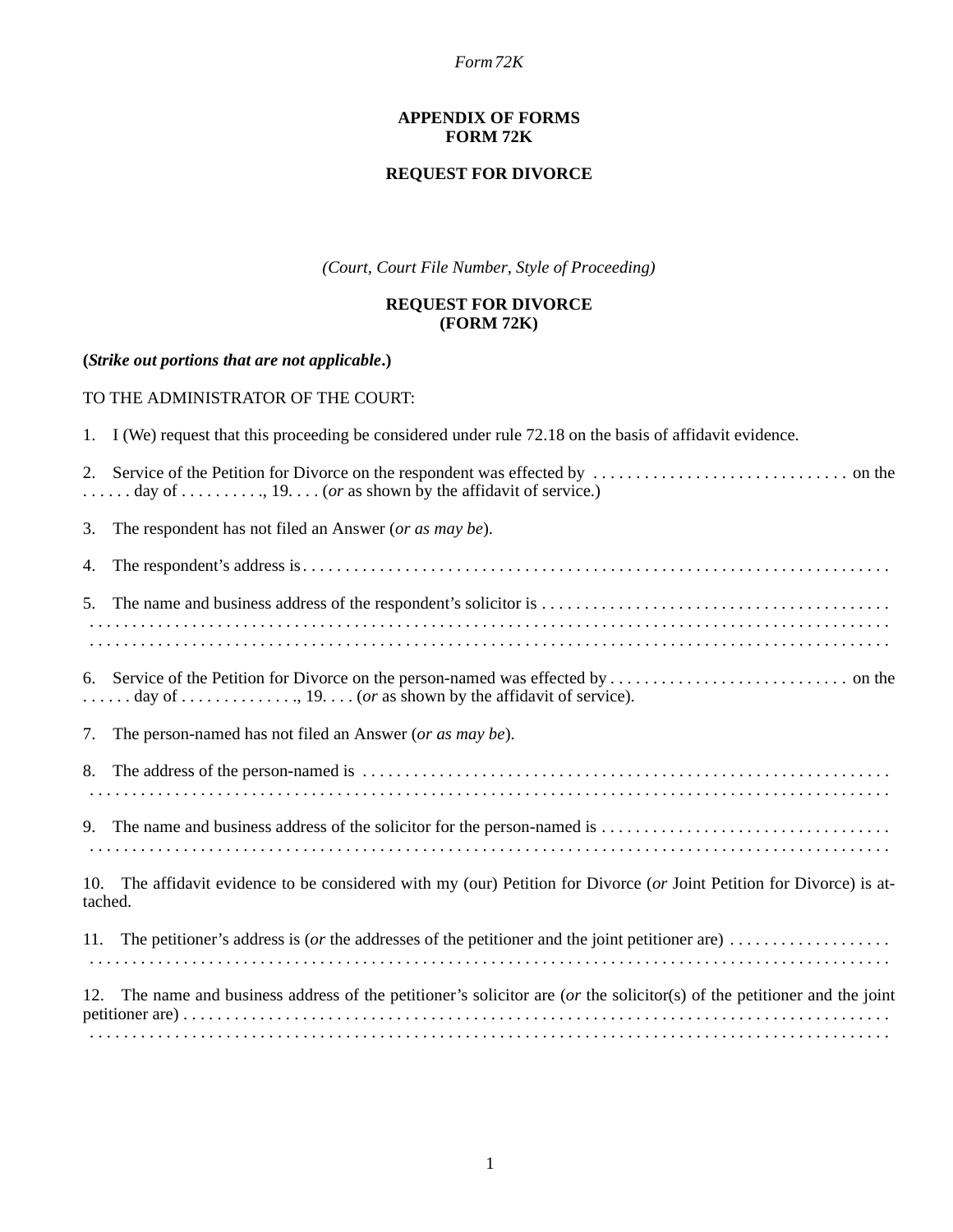#### *Form 72K*

#### **APPENDIX OF FORMS FORM 72K**

## **REQUEST FOR DIVORCE**

*(Court, Court File Number, Style of Proceeding)*

#### **REQUEST FOR DIVORCE (FORM 72K)**

## **(***Strike out portions that are not applicable***.)**

# TO THE ADMINISTRATOR OF THE COURT:

|                                                                                                                             | 1. I (We) request that this proceeding be considered under rule 72.18 on the basis of affidavit evidence.         |
|-----------------------------------------------------------------------------------------------------------------------------|-------------------------------------------------------------------------------------------------------------------|
| 2.                                                                                                                          | $\dots$ day of $\dots$ $\dots$ , $19$ ( <i>or</i> as shown by the affidavit of service.)                          |
| 3.                                                                                                                          | The respondent has not filed an Answer (or as may be).                                                            |
| 4.                                                                                                                          |                                                                                                                   |
| 5.                                                                                                                          |                                                                                                                   |
|                                                                                                                             |                                                                                                                   |
|                                                                                                                             | $\dots \dots$ day of $\dots \dots \dots \dots$ , 19. $\dots$ (or as shown by the affidavit of service).           |
| 7.                                                                                                                          | The person-named has not filed an Answer (or as may be).                                                          |
|                                                                                                                             |                                                                                                                   |
|                                                                                                                             |                                                                                                                   |
| 10.<br>tached.                                                                                                              | The affidavit evidence to be considered with my (our) Petition for Divorce (or Joint Petition for Divorce) is at- |
|                                                                                                                             | 11. The petitioner's address is (or the addresses of the petitioner and the joint petitioner are)                 |
| The name and business address of the petitioner's solicitor are (or the solicitor(s) of the petitioner and the joint<br>12. |                                                                                                                   |